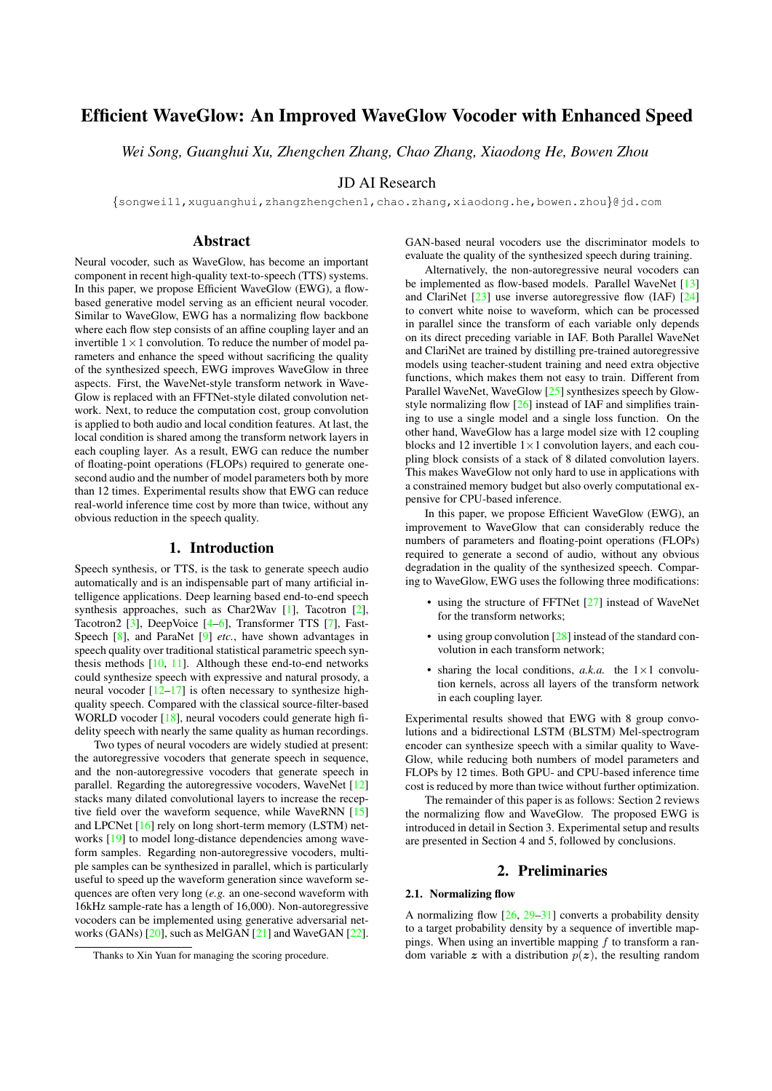# Efficient WaveGlow: An Improved WaveGlow Vocoder with Enhanced Speed

*Wei Song, Guanghui Xu, Zhengchen Zhang, Chao Zhang, Xiaodong He, Bowen Zhou*

## JD AI Research

{songwei11,xuguanghui,zhangzhengchen1,chao.zhang,xiaodong.he,bowen.zhou}@jd.com

## Abstract

Neural vocoder, such as WaveGlow, has become an important component in recent high-quality text-to-speech (TTS) systems. In this paper, we propose Efficient WaveGlow (EWG), a flowbased generative model serving as an efficient neural vocoder. Similar to WaveGlow, EWG has a normalizing flow backbone where each flow step consists of an affine coupling layer and an invertible  $1 \times 1$  convolution. To reduce the number of model parameters and enhance the speed without sacrificing the quality of the synthesized speech, EWG improves WaveGlow in three aspects. First, the WaveNet-style transform network in Wave-Glow is replaced with an FFTNet-style dilated convolution network. Next, to reduce the computation cost, group convolution is applied to both audio and local condition features. At last, the local condition is shared among the transform network layers in each coupling layer. As a result, EWG can reduce the number of floating-point operations (FLOPs) required to generate onesecond audio and the number of model parameters both by more than 12 times. Experimental results show that EWG can reduce real-world inference time cost by more than twice, without any obvious reduction in the speech quality.

## 1. Introduction

Speech synthesis, or TTS, is the task to generate speech audio automatically and is an indispensable part of many artificial intelligence applications. Deep learning based end-to-end speech synthesis approaches, such as Char2Wav [\[1\]](#page-4-0), Tacotron [\[2\]](#page-4-1), Tacotron2 [\[3\]](#page-4-2), DeepVoice [\[4–](#page-4-3)[6\]](#page-4-4), Transformer TTS [\[7\]](#page-4-5), Fast-Speech [\[8\]](#page-4-6), and ParaNet [\[9\]](#page-4-7) *etc.*, have shown advantages in speech quality over traditional statistical parametric speech synthesis methods [\[10,](#page-4-8) [11\]](#page-4-9). Although these end-to-end networks could synthesize speech with expressive and natural prosody, a neural vocoder  $[12-17]$  $[12-17]$  is often necessary to synthesize highquality speech. Compared with the classical source-filter-based WORLD vocoder [\[18\]](#page-4-12), neural vocoders could generate high fidelity speech with nearly the same quality as human recordings.

Two types of neural vocoders are widely studied at present: the autoregressive vocoders that generate speech in sequence, and the non-autoregressive vocoders that generate speech in parallel. Regarding the autoregressive vocoders, WaveNet [\[12\]](#page-4-10) stacks many dilated convolutional layers to increase the recep-tive field over the waveform sequence, while WaveRNN [\[15\]](#page-4-13) and LPCNet [\[16\]](#page-4-14) rely on long short-term memory (LSTM) networks [\[19\]](#page-4-15) to model long-distance dependencies among waveform samples. Regarding non-autoregressive vocoders, multiple samples can be synthesized in parallel, which is particularly useful to speed up the waveform generation since waveform sequences are often very long (*e.g.* an one-second waveform with 16kHz sample-rate has a length of 16,000). Non-autoregressive vocoders can be implemented using generative adversarial networks (GANs) [\[20\]](#page-4-16), such as MelGAN [\[21\]](#page-4-17) and WaveGAN [\[22\]](#page-4-18). GAN-based neural vocoders use the discriminator models to evaluate the quality of the synthesized speech during training.

Alternatively, the non-autoregressive neural vocoders can be implemented as flow-based models. Parallel WaveNet [\[13\]](#page-4-19) and ClariNet [\[23\]](#page-4-20) use inverse autoregressive flow (IAF) [\[24\]](#page-4-21) to convert white noise to waveform, which can be processed in parallel since the transform of each variable only depends on its direct preceding variable in IAF. Both Parallel WaveNet and ClariNet are trained by distilling pre-trained autoregressive models using teacher-student training and need extra objective functions, which makes them not easy to train. Different from Parallel WaveNet, WaveGlow [\[25\]](#page-4-22) synthesizes speech by Glowstyle normalizing flow [\[26\]](#page-4-23) instead of IAF and simplifies training to use a single model and a single loss function. On the other hand, WaveGlow has a large model size with 12 coupling blocks and 12 invertible  $1 \times 1$  convolution layers, and each coupling block consists of a stack of 8 dilated convolution layers. This makes WaveGlow not only hard to use in applications with a constrained memory budget but also overly computational expensive for CPU-based inference.

In this paper, we propose Efficient WaveGlow (EWG), an improvement to WaveGlow that can considerably reduce the numbers of parameters and floating-point operations (FLOPs) required to generate a second of audio, without any obvious degradation in the quality of the synthesized speech. Comparing to WaveGlow, EWG uses the following three modifications:

- using the structure of FFTNet [\[27\]](#page-4-24) instead of WaveNet for the transform networks;
- using group convolution  $[28]$  instead of the standard convolution in each transform network;
- sharing the local conditions,  $a.k.a$ . the  $1 \times 1$  convolution kernels, across all layers of the transform network in each coupling layer.

Experimental results showed that EWG with 8 group convolutions and a bidirectional LSTM (BLSTM) Mel-spectrogram encoder can synthesize speech with a similar quality to Wave-Glow, while reducing both numbers of model parameters and FLOPs by 12 times. Both GPU- and CPU-based inference time cost is reduced by more than twice without further optimization.

The remainder of this paper is as follows: Section 2 reviews the normalizing flow and WaveGlow. The proposed EWG is introduced in detail in Section 3. Experimental setup and results are presented in Section 4 and 5, followed by conclusions.

## 2. Preliminaries

#### 2.1. Normalizing flow

A normalizing flow  $[26, 29-31]$  $[26, 29-31]$  $[26, 29-31]$  converts a probability density to a target probability density by a sequence of invertible mappings. When using an invertible mapping  $f$  to transform a random variable z with a distribution  $p(z)$ , the resulting random

Thanks to Xin Yuan for managing the scoring procedure.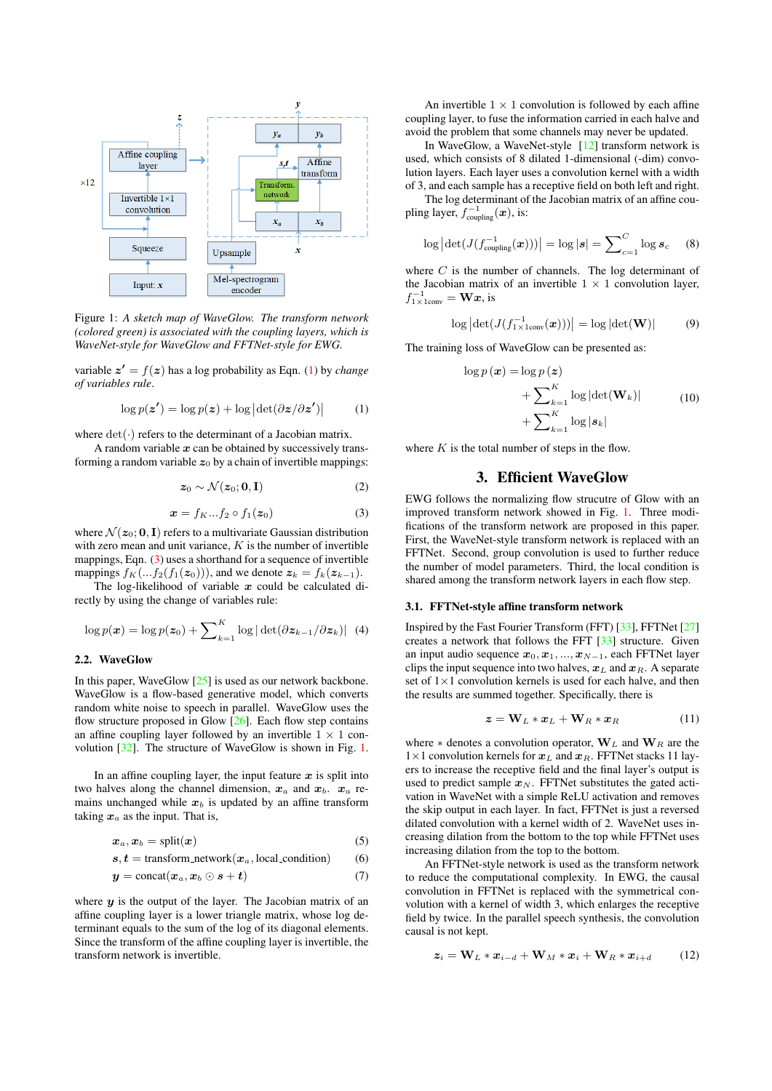<span id="page-1-2"></span>

Figure 1: *A sketch map of WaveGlow. The transform network (colored green) is associated with the coupling layers, which is WaveNet-style for WaveGlow and FFTNet-style for EWG.*

variable  $z' = f(z)$  has a log probability as Eqn. [\(1\)](#page-1-0) by *change of variables rule*.

<span id="page-1-0"></span>
$$
\log p(\mathbf{z}') = \log p(\mathbf{z}) + \log |\det(\partial \mathbf{z}/\partial \mathbf{z}')|
$$
 (1)

where  $det(\cdot)$  refers to the determinant of a Jacobian matrix.

A random variable  $x$  can be obtained by successively transforming a random variable  $z_0$  by a chain of invertible mappings:

$$
z_0 \sim \mathcal{N}(z_0; \mathbf{0}, \mathbf{I}) \tag{2}
$$

<span id="page-1-1"></span>
$$
\boldsymbol{x} = f_K \dots f_2 \circ f_1(\boldsymbol{z}_0) \tag{3}
$$

where  $\mathcal{N}(z_0; 0, I)$  refers to a multivariate Gaussian distribution with zero mean and unit variance,  $K$  is the number of invertible mappings, Eqn. [\(3\)](#page-1-1) uses a shorthand for a sequence of invertible mappings  $f_K(...f_2(f_1(z_0)))$ , and we denote  $z_k = f_k(z_{k-1})$ .

The log-likelihood of variable  $x$  could be calculated directly by using the change of variables rule:

$$
\log p(\boldsymbol{x}) = \log p(\boldsymbol{z}_0) + \sum\nolimits_{k=1}^{K} \log |\det(\partial \boldsymbol{z}_{k-1}/\partial \boldsymbol{z}_k)| \quad (4)
$$

### 2.2. WaveGlow

In this paper, WaveGlow [\[25\]](#page-4-22) is used as our network backbone. WaveGlow is a flow-based generative model, which converts random white noise to speech in parallel. WaveGlow uses the flow structure proposed in Glow  $[26]$ . Each flow step contains an affine coupling layer followed by an invertible  $1 \times 1$  convolution [\[32\]](#page-4-28). The structure of WaveGlow is shown in Fig. [1.](#page-1-2)

In an affine coupling layer, the input feature  $x$  is split into two halves along the channel dimension,  $x_a$  and  $x_b$ .  $x_a$  remains unchanged while  $x_b$  is updated by an affine transform taking  $x_a$  as the input. That is,

$$
x_a, x_b = \text{split}(x) \tag{5}
$$

$$
s, t = \text{transform\_network}(x_a, \text{local\_condition}) \tag{6}
$$

$$
y = \text{concat}(x_a, x_b \odot s + t) \tag{7}
$$

where  $y$  is the output of the layer. The Jacobian matrix of an affine coupling layer is a lower triangle matrix, whose log determinant equals to the sum of the log of its diagonal elements. Since the transform of the affine coupling layer is invertible, the transform network is invertible.

An invertible  $1 \times 1$  convolution is followed by each affine coupling layer, to fuse the information carried in each halve and avoid the problem that some channels may never be updated.

In WaveGlow, a WaveNet-style [\[12\]](#page-4-10) transform network is used, which consists of 8 dilated 1-dimensional (-dim) convolution layers. Each layer uses a convolution kernel with a width of 3, and each sample has a receptive field on both left and right.

The log determinant of the Jacobian matrix of an affine coupling layer,  $f_{\text{coupling}}^{-1}(\boldsymbol{x})$ , is:

$$
\log |\det(J(f_{\text{coupling}}^{-1}(\boldsymbol{x})))| = \log |\boldsymbol{s}| = \sum_{c=1}^{C} \log \boldsymbol{s}_c \quad (8)
$$

where  $C$  is the number of channels. The log determinant of the Jacobian matrix of an invertible  $1 \times 1$  convolution layer,  $f_{1\times1\text{conv}}^{-1} = \mathbf{W}\mathbf{x}$ , is

$$
\log \left| \det(J(f_{1 \times 1 \text{conv}}^{-1}(\boldsymbol{x}))) \right| = \log \left| \det(\mathbf{W}) \right| \tag{9}
$$

The training loss of WaveGlow can be presented as:

$$
\log p(\boldsymbol{x}) = \log p(\boldsymbol{z})
$$
  
+ 
$$
\sum_{k=1}^{K} \log |\det(\mathbf{W}_k)|
$$
  
+ 
$$
\sum_{k=1}^{K} \log |s_k|
$$
 (10)

where  $K$  is the total number of steps in the flow.

## 3. Efficient WaveGlow

EWG follows the normalizing flow strucutre of Glow with an improved transform network showed in Fig. [1.](#page-1-2) Three modifications of the transform network are proposed in this paper. First, the WaveNet-style transform network is replaced with an FFTNet. Second, group convolution is used to further reduce the number of model parameters. Third, the local condition is shared among the transform network layers in each flow step.

#### 3.1. FFTNet-style affine transform network

Inspired by the Fast Fourier Transform (FFT) [\[33\]](#page-4-29), FFTNet [\[27\]](#page-4-24) creates a network that follows the FFT [\[33\]](#page-4-29) structure. Given an input audio sequence  $x_0, x_1, ..., x_{N-1}$ , each FFTNet layer clips the input sequence into two halves,  $x_L$  and  $x_R$ . A separate set of 1×1 convolution kernels is used for each halve, and then the results are summed together. Specifically, there is

$$
\boldsymbol{z} = \mathbf{W}_L * \boldsymbol{x}_L + \mathbf{W}_R * \boldsymbol{x}_R \tag{11}
$$

where  $*$  denotes a convolution operator,  $W_L$  and  $W_R$  are the  $1\times1$  convolution kernels for  $x_L$  and  $x_R$ . FFTNet stacks 11 layers to increase the receptive field and the final layer's output is used to predict sample  $x_N$ . FFTNet substitutes the gated activation in WaveNet with a simple ReLU activation and removes the skip output in each layer. In fact, FFTNet is just a reversed dilated convolution with a kernel width of 2. WaveNet uses increasing dilation from the bottom to the top while FFTNet uses increasing dilation from the top to the bottom.

An FFTNet-style network is used as the transform network to reduce the computational complexity. In EWG, the causal convolution in FFTNet is replaced with the symmetrical convolution with a kernel of width 3, which enlarges the receptive field by twice. In the parallel speech synthesis, the convolution causal is not kept.

$$
\boldsymbol{z}_i = \mathbf{W}_L * \boldsymbol{x}_{i-d} + \mathbf{W}_M * \boldsymbol{x}_i + \mathbf{W}_R * \boldsymbol{x}_{i+d} \qquad (12)
$$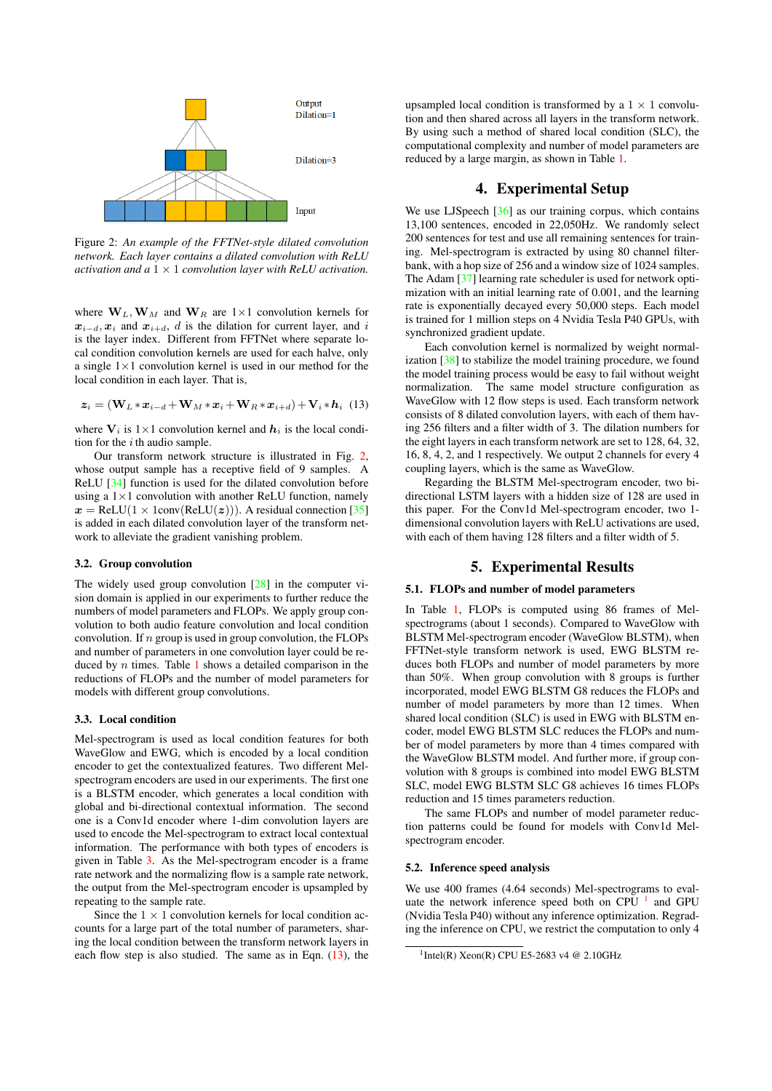<span id="page-2-0"></span>

Figure 2: *An example of the FFTNet-style dilated convolution network. Each layer contains a dilated convolution with ReLU activation and a* 1 × 1 *convolution layer with ReLU activation.*

where  $W_L, W_M$  and  $W_R$  are 1×1 convolution kernels for  $x_{i-d}$ ,  $x_i$  and  $x_{i+d}$ , d is the dilation for current layer, and i is the layer index. Different from FFTNet where separate local condition convolution kernels are used for each halve, only a single  $1 \times 1$  convolution kernel is used in our method for the local condition in each layer. That is,

<span id="page-2-1"></span>
$$
\boldsymbol{z}_i = (\mathbf{W}_L * \boldsymbol{x}_{i-d} + \mathbf{W}_M * \boldsymbol{x}_i + \mathbf{W}_R * \boldsymbol{x}_{i+d}) + \mathbf{V}_i * \boldsymbol{h}_i
$$
(13)

where  $V_i$  is  $1 \times 1$  convolution kernel and  $h_i$  is the local condition for the  $i$  th audio sample.

Our transform network structure is illustrated in Fig. [2,](#page-2-0) whose output sample has a receptive field of 9 samples. A ReLU [\[34\]](#page-4-30) function is used for the dilated convolution before using a  $1 \times 1$  convolution with another ReLU function, namely  $x = \text{ReLU}(1 \times \text{1conv}(\text{ReLU}(z)))$ . A residual connection [\[35\]](#page-4-31) is added in each dilated convolution layer of the transform network to alleviate the gradient vanishing problem.

### 3.2. Group convolution

The widely used group convolution [\[28\]](#page-4-25) in the computer vision domain is applied in our experiments to further reduce the numbers of model parameters and FLOPs. We apply group convolution to both audio feature convolution and local condition convolution. If  $n$  group is used in group convolution, the FLOPs and number of parameters in one convolution layer could be reduced by  $n$  times. Table [1](#page-3-0) shows a detailed comparison in the reductions of FLOPs and the number of model parameters for models with different group convolutions.

#### 3.3. Local condition

Mel-spectrogram is used as local condition features for both WaveGlow and EWG, which is encoded by a local condition encoder to get the contextualized features. Two different Melspectrogram encoders are used in our experiments. The first one is a BLSTM encoder, which generates a local condition with global and bi-directional contextual information. The second one is a Conv1d encoder where 1-dim convolution layers are used to encode the Mel-spectrogram to extract local contextual information. The performance with both types of encoders is given in Table [3.](#page-3-1) As the Mel-spectrogram encoder is a frame rate network and the normalizing flow is a sample rate network, the output from the Mel-spectrogram encoder is upsampled by repeating to the sample rate.

Since the  $1 \times 1$  convolution kernels for local condition accounts for a large part of the total number of parameters, sharing the local condition between the transform network layers in each flow step is also studied. The same as in Eqn.  $(13)$ , the

upsampled local condition is transformed by a  $1 \times 1$  convolution and then shared across all layers in the transform network. By using such a method of shared local condition (SLC), the computational complexity and number of model parameters are reduced by a large margin, as shown in Table [1.](#page-3-0)

## 4. Experimental Setup

We use LJSpeech [\[36\]](#page-4-32) as our training corpus, which contains 13,100 sentences, encoded in 22,050Hz. We randomly select 200 sentences for test and use all remaining sentences for training. Mel-spectrogram is extracted by using 80 channel filterbank, with a hop size of 256 and a window size of 1024 samples. The Adam [\[37\]](#page-4-33) learning rate scheduler is used for network optimization with an initial learning rate of 0.001, and the learning rate is exponentially decayed every 50,000 steps. Each model is trained for 1 million steps on 4 Nvidia Tesla P40 GPUs, with synchronized gradient update.

Each convolution kernel is normalized by weight normalization [\[38\]](#page-4-34) to stabilize the model training procedure, we found the model training process would be easy to fail without weight normalization. The same model structure configuration as WaveGlow with 12 flow steps is used. Each transform network consists of 8 dilated convolution layers, with each of them having 256 filters and a filter width of 3. The dilation numbers for the eight layers in each transform network are set to 128, 64, 32, 16, 8, 4, 2, and 1 respectively. We output 2 channels for every 4 coupling layers, which is the same as WaveGlow.

Regarding the BLSTM Mel-spectrogram encoder, two bidirectional LSTM layers with a hidden size of 128 are used in this paper. For the Conv1d Mel-spectrogram encoder, two 1 dimensional convolution layers with ReLU activations are used, with each of them having 128 filters and a filter width of 5.

### 5. Experimental Results

#### 5.1. FLOPs and number of model parameters

In Table [1,](#page-3-0) FLOPs is computed using 86 frames of Melspectrograms (about 1 seconds). Compared to WaveGlow with BLSTM Mel-spectrogram encoder (WaveGlow BLSTM), when FFTNet-style transform network is used, EWG BLSTM reduces both FLOPs and number of model parameters by more than 50%. When group convolution with 8 groups is further incorporated, model EWG BLSTM G8 reduces the FLOPs and number of model parameters by more than 12 times. When shared local condition (SLC) is used in EWG with BLSTM encoder, model EWG BLSTM SLC reduces the FLOPs and number of model parameters by more than 4 times compared with the WaveGlow BLSTM model. And further more, if group convolution with 8 groups is combined into model EWG BLSTM SLC, model EWG BLSTM SLC G8 achieves 16 times FLOPs reduction and 15 times parameters reduction.

The same FLOPs and number of model parameter reduction patterns could be found for models with Conv1d Melspectrogram encoder.

#### 5.2. Inference speed analysis

We use 400 frames (4.64 seconds) Mel-spectrograms to evaluate the network inference speed both on CPU  $<sup>1</sup>$  $<sup>1</sup>$  $<sup>1</sup>$  and GPU</sup> (Nvidia Tesla P40) without any inference optimization. Regrading the inference on CPU, we restrict the computation to only 4

<span id="page-2-2"></span> $1$ Intel(R) Xeon(R) CPU E5-2683 v4 @ 2.10GHz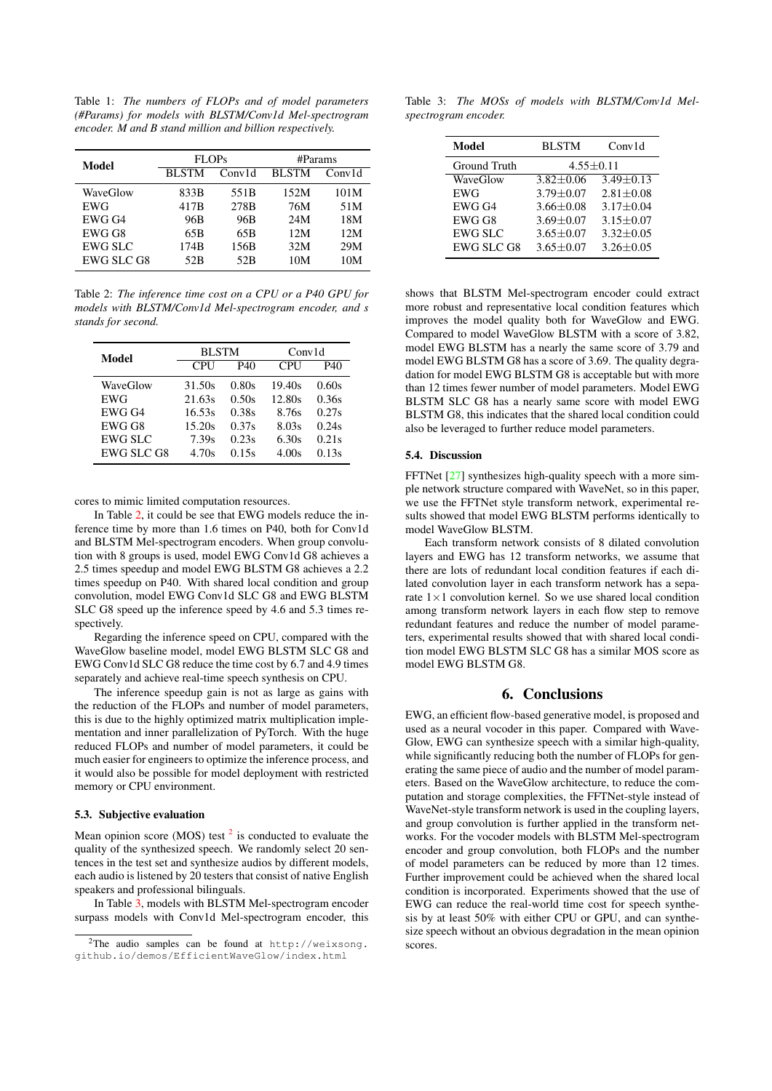<span id="page-3-0"></span>Table 1: *The numbers of FLOPs and of model parameters (#Params) for models with BLSTM/Conv1d Mel-spectrogram encoder. M and B stand million and billion respectively.*

| Model             | <b>FLOPs</b> |                 | #Params      |        |
|-------------------|--------------|-----------------|--------------|--------|
|                   | <b>BLSTM</b> | Conv1d          | <b>BLSTM</b> | Conv1d |
| WaveGlow          | 833B         | 551B            | 152M         | 101M   |
| <b>EWG</b>        | 417B         | 278B            | 76M          | 51M    |
| EWG G4            | 96B          | 96B             | 24M          | 18M    |
| EWG G8            | 65B          | 65B             | 12M          | 12M    |
| <b>EWG SLC</b>    | 174B         | 156B            | 32M          | 29M    |
| <b>EWG SLC G8</b> | 52B          | 52 <sub>B</sub> | 10M          | 10M    |

<span id="page-3-2"></span>Table 2: *The inference time cost on a CPU or a P40 GPU for models with BLSTM/Conv1d Mel-spectrogram encoder, and s stands for second.*

| Model             | <b>BLSTM</b> |       | Conv1d     |       |
|-------------------|--------------|-------|------------|-------|
|                   | <b>CPU</b>   | P40   | <b>CPU</b> | P40   |
| WaveGlow          | 31.50s       | 0.80s | 19.40s     | 0.60s |
| <b>EWG</b>        | 21.63s       | 0.50s | 12.80s     | 0.36s |
| EWG G4            | 16.53s       | 0.38s | 8.76s      | 0.27s |
| EWG G8            | 15.20s       | 0.37s | 8.03s      | 0.24s |
| <b>EWG SLC</b>    | 7.39s        | 0.23s | 6.30s      | 0.21s |
| <b>EWG SLC G8</b> | 4.70s        | 0.15s | 4.00s      | 0.13s |

cores to mimic limited computation resources.

In Table [2,](#page-3-2) it could be see that EWG models reduce the inference time by more than 1.6 times on P40, both for Conv1d and BLSTM Mel-spectrogram encoders. When group convolution with 8 groups is used, model EWG Conv1d G8 achieves a 2.5 times speedup and model EWG BLSTM G8 achieves a 2.2 times speedup on P40. With shared local condition and group convolution, model EWG Conv1d SLC G8 and EWG BLSTM SLC G8 speed up the inference speed by 4.6 and 5.3 times respectively.

Regarding the inference speed on CPU, compared with the WaveGlow baseline model, model EWG BLSTM SLC G8 and EWG Conv1d SLC G8 reduce the time cost by 6.7 and 4.9 times separately and achieve real-time speech synthesis on CPU.

The inference speedup gain is not as large as gains with the reduction of the FLOPs and number of model parameters, this is due to the highly optimized matrix multiplication implementation and inner parallelization of PyTorch. With the huge reduced FLOPs and number of model parameters, it could be much easier for engineers to optimize the inference process, and it would also be possible for model deployment with restricted memory or CPU environment.

### 5.3. Subjective evaluation

Mean opinion score (MOS) test  $2$  is conducted to evaluate the quality of the synthesized speech. We randomly select 20 sentences in the test set and synthesize audios by different models, each audio is listened by 20 testers that consist of native English speakers and professional bilinguals.

In Table [3,](#page-3-1) models with BLSTM Mel-spectrogram encoder surpass models with Conv1d Mel-spectrogram encoder, this

<span id="page-3-1"></span>Table 3: *The MOSs of models with BLSTM/Conv1d Melspectrogram encoder.*

| Model          | <b>BLSTM</b>    | Conv1d          |  |
|----------------|-----------------|-----------------|--|
| Ground Truth   | $4.55 \pm 0.11$ |                 |  |
| WaveGlow       | $3.82 + 0.06$   | $3.49 + 0.13$   |  |
| <b>EWG</b>     | $3.79 + 0.07$   | $2.81 + 0.08$   |  |
| EWG G4         | $3.66 + 0.08$   | $3.17 \pm 0.04$ |  |
| EWG G8         | $3.69 \pm 0.07$ | $3.15 \pm 0.07$ |  |
| <b>EWG SLC</b> | $3.65 \pm 0.07$ | $3.32 \pm 0.05$ |  |
| EWG SLC G8     | $3.65 + 0.07$   | $3.26 \pm 0.05$ |  |

shows that BLSTM Mel-spectrogram encoder could extract more robust and representative local condition features which improves the model quality both for WaveGlow and EWG. Compared to model WaveGlow BLSTM with a score of 3.82, model EWG BLSTM has a nearly the same score of 3.79 and model EWG BLSTM G8 has a score of 3.69. The quality degradation for model EWG BLSTM G8 is acceptable but with more than 12 times fewer number of model parameters. Model EWG BLSTM SLC G8 has a nearly same score with model EWG BLSTM G8, this indicates that the shared local condition could also be leveraged to further reduce model parameters.

#### 5.4. Discussion

FFTNet [\[27\]](#page-4-24) synthesizes high-quality speech with a more simple network structure compared with WaveNet, so in this paper, we use the FFTNet style transform network, experimental results showed that model EWG BLSTM performs identically to model WaveGlow BLSTM.

Each transform network consists of 8 dilated convolution layers and EWG has 12 transform networks, we assume that there are lots of redundant local condition features if each dilated convolution layer in each transform network has a separate  $1 \times 1$  convolution kernel. So we use shared local condition among transform network layers in each flow step to remove redundant features and reduce the number of model parameters, experimental results showed that with shared local condition model EWG BLSTM SLC G8 has a similar MOS score as model EWG BLSTM G8.

### 6. Conclusions

EWG, an efficient flow-based generative model, is proposed and used as a neural vocoder in this paper. Compared with Wave-Glow, EWG can synthesize speech with a similar high-quality, while significantly reducing both the number of FLOPs for generating the same piece of audio and the number of model parameters. Based on the WaveGlow architecture, to reduce the computation and storage complexities, the FFTNet-style instead of WaveNet-style transform network is used in the coupling layers, and group convolution is further applied in the transform networks. For the vocoder models with BLSTM Mel-spectrogram encoder and group convolution, both FLOPs and the number of model parameters can be reduced by more than 12 times. Further improvement could be achieved when the shared local condition is incorporated. Experiments showed that the use of EWG can reduce the real-world time cost for speech synthesis by at least 50% with either CPU or GPU, and can synthesize speech without an obvious degradation in the mean opinion scores.

<span id="page-3-3"></span><sup>2</sup>The audio samples can be found at [http://weixsong.](http://weixsong.github.io/demos/EfficientWaveGlow/index.html) [github.io/demos/EfficientWaveGlow/index.html](http://weixsong.github.io/demos/EfficientWaveGlow/index.html)